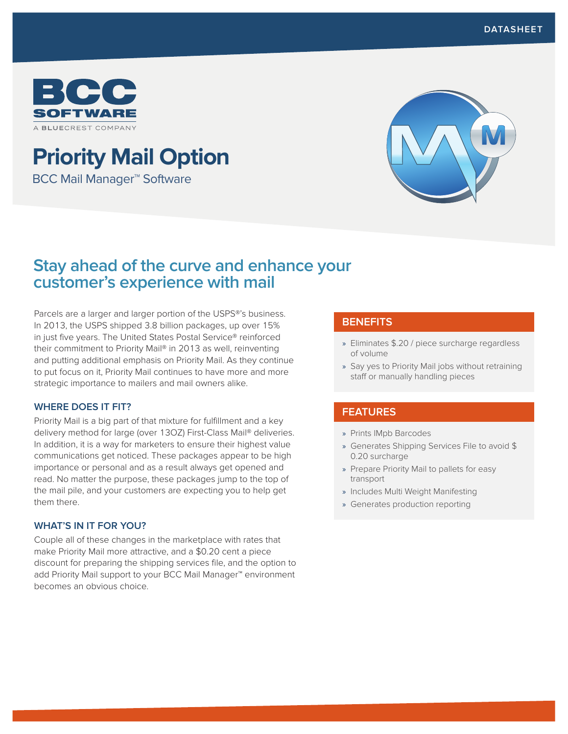

**Priority Mail Option** BCC Mail Manager™ Software



# **Stay ahead of the curve and enhance your customer's experience with mail**

Parcels are a larger and larger portion of the USPS®'s business. In 2013, the USPS shipped 3.8 billion packages, up over 15% in just five years. The United States Postal Service® reinforced their commitment to Priority Mail® in 2013 as well, reinventing and putting additional emphasis on Priority Mail. As they continue to put focus on it, Priority Mail continues to have more and more strategic importance to mailers and mail owners alike.

## **WHERE DOES IT FIT?**

Priority Mail is a big part of that mixture for fulfillment and a key delivery method for large (over 13OZ) First-Class Mail® deliveries. In addition, it is a way for marketers to ensure their highest value communications get noticed. These packages appear to be high importance or personal and as a result always get opened and read. No matter the purpose, these packages jump to the top of the mail pile, and your customers are expecting you to help get them there.

#### **WHAT'S IN IT FOR YOU?**

Couple all of these changes in the marketplace with rates that make Priority Mail more attractive, and a \$0.20 cent a piece discount for preparing the shipping services file, and the option to add Priority Mail support to your BCC Mail Manager™ environment becomes an obvious choice.

# **BENEFITS**

- » Eliminates \$.20 / piece surcharge regardless of volume
- » Say yes to Priority Mail jobs without retraining staff or manually handling pieces

# **FEATURES**

- » Prints IMpb Barcodes
- » Generates Shipping Services File to avoid \$ 0.20 surcharge
- » Prepare Priority Mail to pallets for easy transport
- » Includes Multi Weight Manifesting
- » Generates production reporting